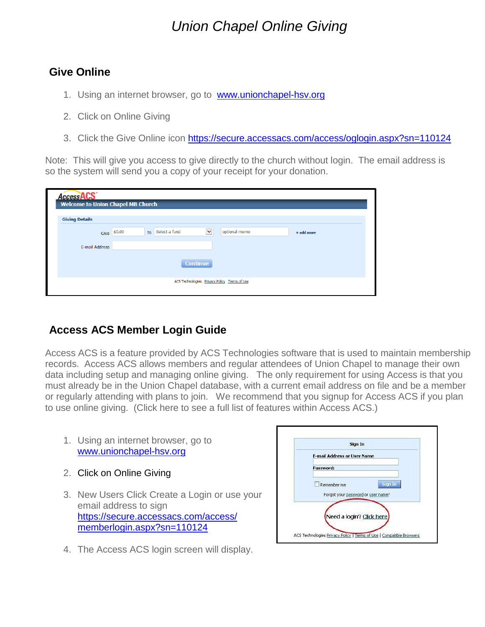# *Union Chapel Online Giving*

## **Give Online**

- 1. Using an internet browser, go to [www.unionchapel-](http://www.unionchapel/)hsv.org
- 2. Click on Online Giving
- 3. Click the Give Online icon<https://secure.accessacs.com/access/oglogin.aspx?sn=110124>

Note: This will give you access to give directly to the church without login. The email address is so the system will send you a copy of your receipt for your donation.

| <b>AccessACS</b><br><b>Welcome to Union Chapel MB Church</b> |             |                     |                 |                                              |            |  |
|--------------------------------------------------------------|-------------|---------------------|-----------------|----------------------------------------------|------------|--|
| <b>Giving Details</b>                                        |             |                     |                 |                                              |            |  |
|                                                              | Give \$0.00 | Select a fund<br>to | $\checkmark$    | optional memo                                | + add more |  |
| E-mail Address                                               |             |                     |                 |                                              |            |  |
|                                                              |             |                     | <b>Continue</b> |                                              |            |  |
|                                                              |             |                     |                 | ACS Technologies Privacy Policy Terms of Use |            |  |
|                                                              |             |                     |                 |                                              |            |  |

# **Access ACS Member Login Guide**

Access ACS is a feature provided by ACS Technologies software that is used to maintain membership records. Access ACS allows members and regular attendees of Union Chapel to manage their own data including setup and managing online giving. The only requirement for using Access is that you must already be in the Union Chapel database, with a current email address on file and be a member or regularly attending with plans to join. We recommend that you signup for Access ACS if you plan to use online giving. (Click here to see a full list of features within Access ACS.)

- 1. Using an internet browser, go to [www.unionchapel-](http://www.unionchapel/)hsv.org
- 2. Click on Online Giving
- 3. New Users Click Create a Login or use your email address to sign [https://secure.accessacs.com/access/](https://secure.accessacs.com/access/memberlogin.aspx?sn=110124) [memberlogin.aspx?sn=110124](https://secure.accessacs.com/access/memberlogin.aspx?sn=110124)



4. The Access ACS login screen will display.